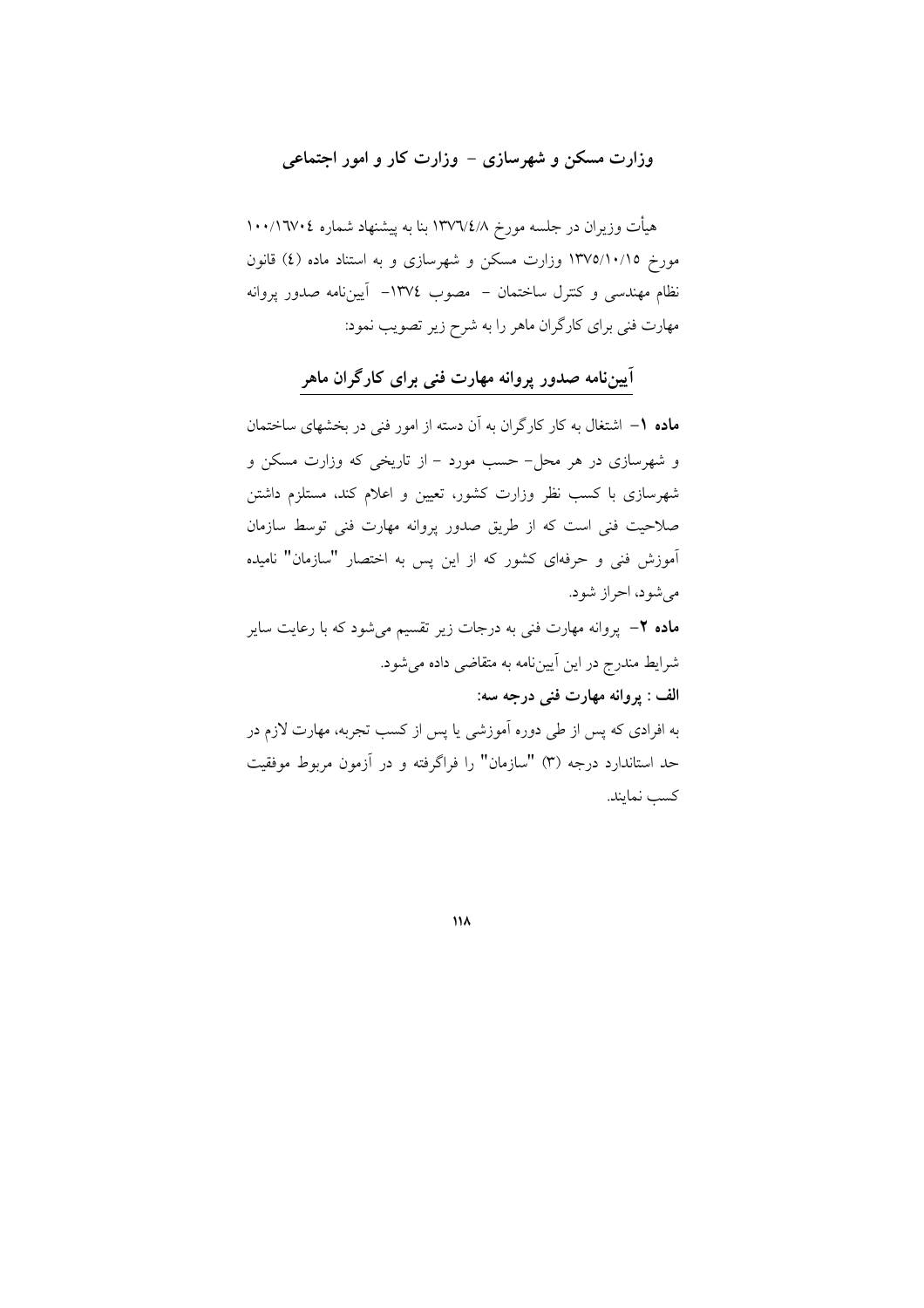## وزارت مسکن و شهرسازی – وزارت کار و امور اجتماعی

هیأت وزیران در جلسه مورخ ۱۳۷٦/٤/۸ بنا به پیشنهاد شماره ۱۰۰/۱٦۷۰٤ مورخ ١٣٧٥/١٠/١٥ وزارت مسكن و شهرسازي و به استناد ماده (٤) قانون نظام مهندسی و کنترل ساختمان – مصوب ١٣٧٤– آییننامه صدور پروانه مهارت فنی برای کارگران ماهر را به شرح زیر تصویب نمود:

## اًییننامه صدور پروانه مهارت فنی برای کارگران ماهر

ماده ١– اشتغال به كار كارگران به آن دسته از امور فنی در بخشهای ساختمان و شهرسازی در هر محل- حسب مورد – از تاریخی که وزارت مسکن و شهرسازی با کسب نظر وزارت کشور، تعیین و اعلام کند، مستلزم داشتن صلاحیت فنی است که از طریق صدور پروانه مهارت فنی توسط سازمان آموزش فنی و حرفهای کشور که از این پس به اختصار "سازمان" نامیده مے شود، احراز شود.

**ماده ۲**– پروانه مهارت فنی به درجات زیر تقسیم میشود که با رعایت سایر شرايط مندرج در اين آييننامه به متقاضى داده مى شود. الف : پروانه مهارت فني درجه سه: به افرادی که پس از طی دوره آموزشی یا پس از کسب تجربه، مهارت لازم در حد استاندارد درجه (۳) "سازمان" را فراگرفته و در آزمون مربوط موفقیت كسب نمايند.

۱۱۸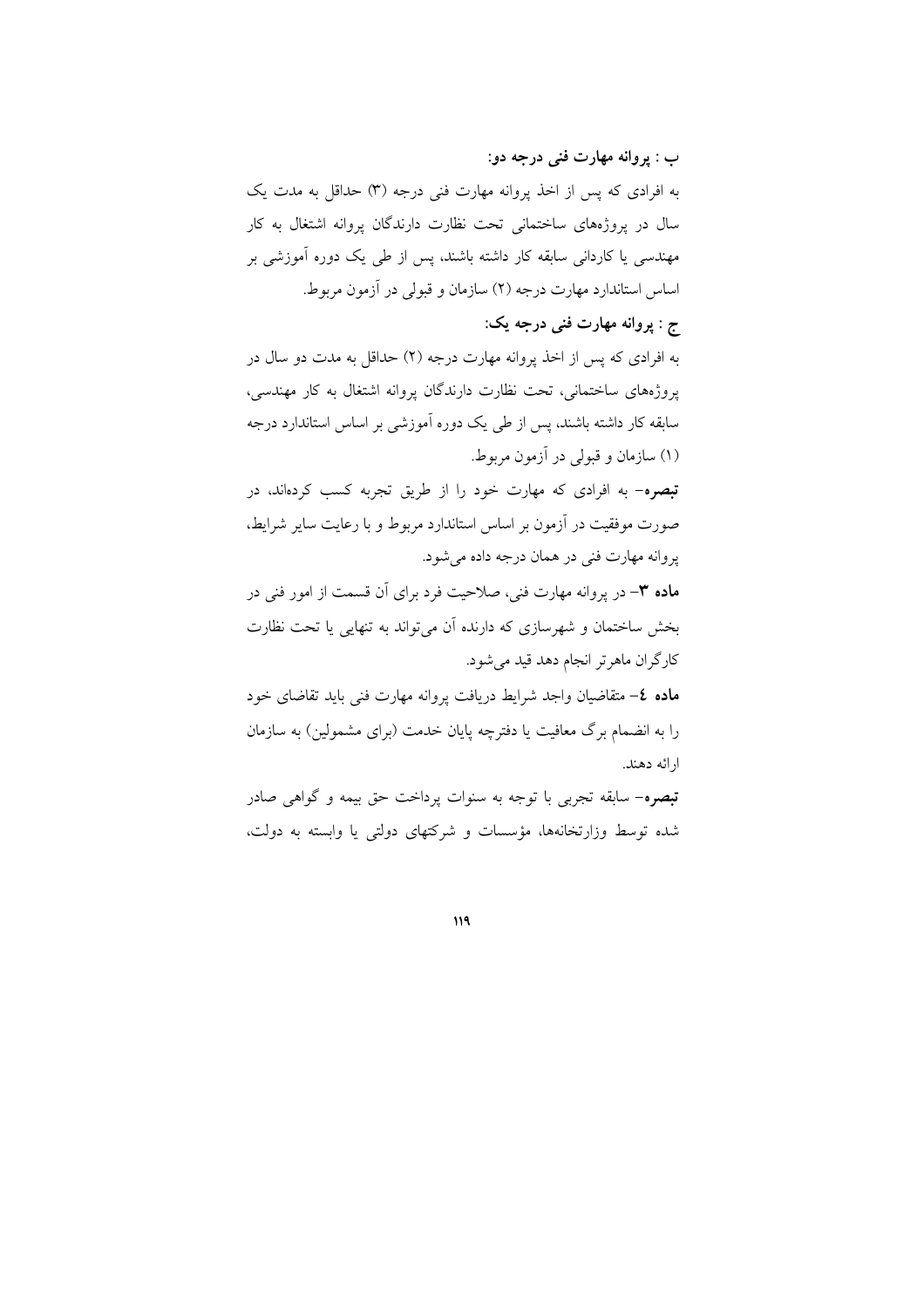ب : پروانه مهارت فني درجه دو: به افرادی که پس از اخذ پروانه مهارت فنی درجه (۳) حداقل به مدت یک سال در پروژههای ساختمانی تحت نظارت دارندگان پروانه اشتغال به کار مهندسی یا کاردانی سابقه کار داشته باشند، پس از طی یک دوره اَموزشی بر اساس استاندارد مهارت درجه (٢) سازمان و قبولي در آزمون مربوط.

## ج : پروانه مهارت فني درجه يک:

به افرادی که پس از اخذ پروانه مهارت درجه (۲) حداقل به مدت دو سال در یروژههای ساختمانی، تحت نظارت دارندگان پروانه اشتغال به کار مهندسی، سابقه کار داشته باشند، پس از طی یک دوره آموزشی بر اساس استاندارد درجه (۱) سازمان و قبولی در آزمون مربوط.

**تبصره**- به افرادی که مهارت خود را از طریق تجربه کسب کردهاند، در صورت موفقیت در آزمون بر اساس استاندارد مربوط و با رعایت سایر شرایط، پروانه مهارت فنی در همان درجه داده می شود.

**ماده ٣**– در يروانه مهارت فني، صلاحيت فرد براي أن قسمت از امور فني در بخش ساختمان و شهرسازی که دارنده آن میتواند به تنهایی یا تحت نظارت كارگران ماهرتر انجام دهد قيد مي شود.

ماده ٤– متقاضیان واجد شرایط دریافت پروانه مهارت فنی باید تقاضای خود را به انضمام برگ معافیت یا دفترچه پایان خدمت (برای مشمولین) به سازمان ار ائه دهند.

**تبصره**– سابقه تجربی با توجه به سنوات پرداخت حق بیمه و گواهی صادر شده توسط وزارتخانهها، مؤسسات و شرکتهای دولتی یا وابسته به دولت،

119